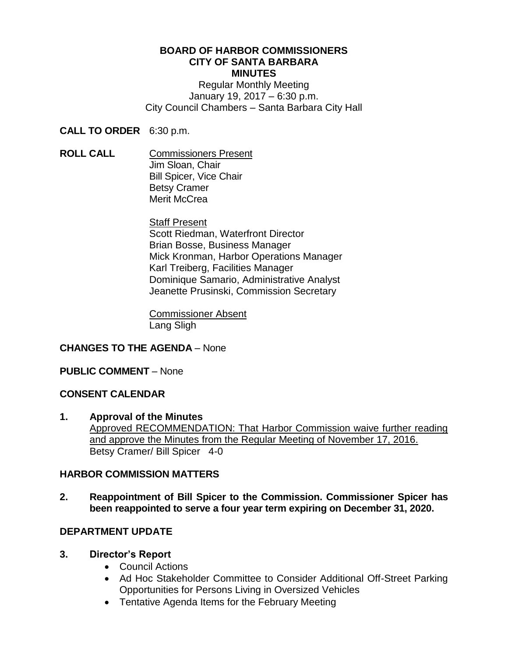#### **BOARD OF HARBOR COMMISSIONERS CITY OF SANTA BARBARA MINUTES**

Regular Monthly Meeting January 19, 2017 – 6:30 p.m. City Council Chambers – Santa Barbara City Hall

**CALL TO ORDER** 6:30 p.m.

**ROLL CALL** Commissioners Present Jim Sloan, Chair Bill Spicer, Vice Chair Betsy Cramer Merit McCrea

> Staff Present Scott Riedman, Waterfront Director Brian Bosse, Business Manager Mick Kronman, Harbor Operations Manager Karl Treiberg, Facilities Manager Dominique Samario, Administrative Analyst Jeanette Prusinski, Commission Secretary

Commissioner Absent Lang Sligh

# **CHANGES TO THE AGENDA** – None

### **PUBLIC COMMENT** – None

### **CONSENT CALENDAR**

**1. Approval of the Minutes** Approved RECOMMENDATION: That Harbor Commission waive further reading and approve the Minutes from the Regular Meeting of November 17, 2016. Betsy Cramer/ Bill Spicer 4-0

### **HARBOR COMMISSION MATTERS**

**2. Reappointment of Bill Spicer to the Commission. Commissioner Spicer has been reappointed to serve a four year term expiring on December 31, 2020.**

# **DEPARTMENT UPDATE**

### **3. Director's Report**

- Council Actions
- Ad Hoc Stakeholder Committee to Consider Additional Off-Street Parking Opportunities for Persons Living in Oversized Vehicles
- Tentative Agenda Items for the February Meeting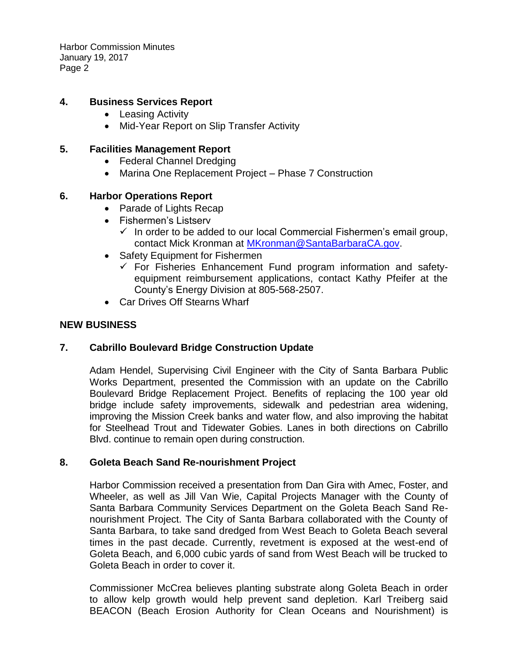Harbor Commission Minutes January 19, 2017 Page 2

### **4. Business Services Report**

- Leasing Activity
- Mid-Year Report on Slip Transfer Activity

### **5. Facilities Management Report**

- Federal Channel Dredging
- Marina One Replacement Project Phase 7 Construction

## **6. Harbor Operations Report**

- Parade of Lights Recap
- Fishermen's Listserv
	- $\checkmark$  In order to be added to our local Commercial Fishermen's email group, contact Mick Kronman at [MKronman@SantaBarbaraCA.gov.](mailto:MKronman@SantaBarbaraCA.gov)
- Safety Equipment for Fishermen
	- $\checkmark$  For Fisheries Enhancement Fund program information and safetyequipment reimbursement applications, contact Kathy Pfeifer at the County's Energy Division at 805-568-2507.
- Car Drives Off Stearns Wharf

### **NEW BUSINESS**

# **7. Cabrillo Boulevard Bridge Construction Update**

Adam Hendel, Supervising Civil Engineer with the City of Santa Barbara Public Works Department, presented the Commission with an update on the Cabrillo Boulevard Bridge Replacement Project. Benefits of replacing the 100 year old bridge include safety improvements, sidewalk and pedestrian area widening, improving the Mission Creek banks and water flow, and also improving the habitat for Steelhead Trout and Tidewater Gobies. Lanes in both directions on Cabrillo Blvd. continue to remain open during construction.

### **8. Goleta Beach Sand Re-nourishment Project**

Harbor Commission received a presentation from Dan Gira with Amec, Foster, and Wheeler, as well as Jill Van Wie, Capital Projects Manager with the County of Santa Barbara Community Services Department on the Goleta Beach Sand Renourishment Project. The City of Santa Barbara collaborated with the County of Santa Barbara, to take sand dredged from West Beach to Goleta Beach several times in the past decade. Currently, revetment is exposed at the west-end of Goleta Beach, and 6,000 cubic yards of sand from West Beach will be trucked to Goleta Beach in order to cover it.

Commissioner McCrea believes planting substrate along Goleta Beach in order to allow kelp growth would help prevent sand depletion. Karl Treiberg said BEACON (Beach Erosion Authority for Clean Oceans and Nourishment) is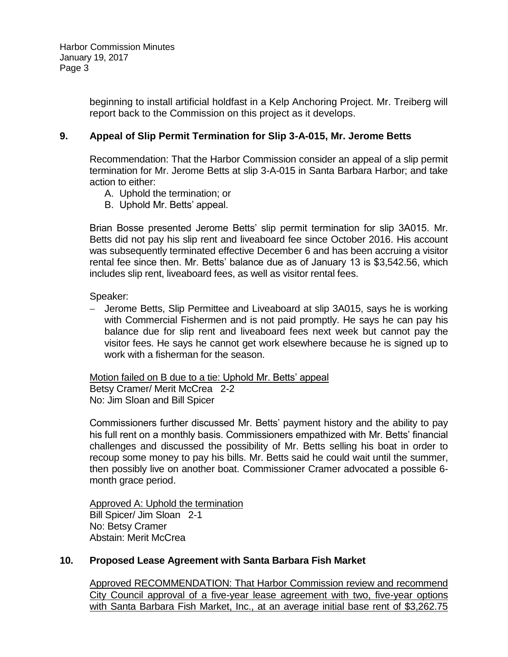Harbor Commission Minutes January 19, 2017 Page 3

> beginning to install artificial holdfast in a Kelp Anchoring Project. Mr. Treiberg will report back to the Commission on this project as it develops.

### **9. Appeal of Slip Permit Termination for Slip 3-A-015, Mr. Jerome Betts**

Recommendation: That the Harbor Commission consider an appeal of a slip permit termination for Mr. Jerome Betts at slip 3-A-015 in Santa Barbara Harbor; and take action to either:

- A. Uphold the termination; or
- B. Uphold Mr. Betts' appeal.

Brian Bosse presented Jerome Betts' slip permit termination for slip 3A015. Mr. Betts did not pay his slip rent and liveaboard fee since October 2016. His account was subsequently terminated effective December 6 and has been accruing a visitor rental fee since then. Mr. Betts' balance due as of January 13 is \$3,542.56, which includes slip rent, liveaboard fees, as well as visitor rental fees.

Speaker:

 Jerome Betts, Slip Permittee and Liveaboard at slip 3A015, says he is working with Commercial Fishermen and is not paid promptly. He says he can pay his balance due for slip rent and liveaboard fees next week but cannot pay the visitor fees. He says he cannot get work elsewhere because he is signed up to work with a fisherman for the season.

Motion failed on B due to a tie: Uphold Mr. Betts' appeal Betsy Cramer/ Merit McCrea 2-2 No: Jim Sloan and Bill Spicer

Commissioners further discussed Mr. Betts' payment history and the ability to pay his full rent on a monthly basis. Commissioners empathized with Mr. Betts' financial challenges and discussed the possibility of Mr. Betts selling his boat in order to recoup some money to pay his bills. Mr. Betts said he could wait until the summer, then possibly live on another boat. Commissioner Cramer advocated a possible 6 month grace period.

Approved A: Uphold the termination Bill Spicer/ Jim Sloan 2-1 No: Betsy Cramer Abstain: Merit McCrea

### **10. Proposed Lease Agreement with Santa Barbara Fish Market**

Approved RECOMMENDATION: That Harbor Commission review and recommend City Council approval of a five-year lease agreement with two, five-year options with Santa Barbara Fish Market, Inc., at an average initial base rent of \$3,262.75